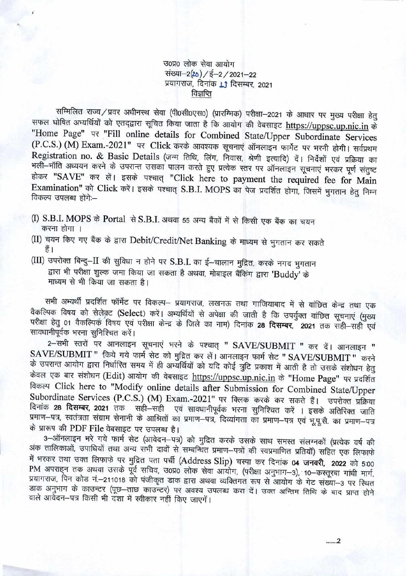उ०प्र० लोक सेवा आयोग संख्या-2(20) / ई-2 / 2021-22 प्रयागराज, दिनांक 13 दिसम्बर, 2021 विज्ञप्ति

सम्मिलित राज्य / प्रवर अधीनस्थ सेवा (पी0सी0एस0) (प्रारम्भिक) परीक्षा-2021 के आधार पर मुख्य परीक्षा हेतु सफल घोषित अभ्यर्थियों को एतद्द्वारा सूचित किया जाता है कि आयोग की वेबसाइट https://uppsc.up.nic.in के "Home Page" पर "Fill online details for Combined State/Upper Subordinate Services (P.C.S.) (M) Exam.-2021" पर Click करके आवश्यक सूचनाएं ऑनलाइन फार्मेट पर भरनी होगी। सर्वप्रथम Registration no. & Basic Details (जन्म तिथि, लिंग, निवास, श्रेणी इत्यादि) दें। निर्देशों एवं प्रक्रिया का भली–भॉति अध्ययन करने के उपरान्त उसका पालन करते हुए प्रत्येक स्तर पर ऑनलाइन सूचनाएं भरकर पूर्ण संतुष्ट होकर "SAVE" कर लें। इसके पश्चात् "Click here to payment the required fee for Main Examination" को Click करें। इसके पश्चात् S.B.I. MOPS का पेज प्रदर्शित होगा, जिसमें भूगतान हेतु निम्न विकल्प उपलब्ध होंगे:--

(I) S.B.I. MOPS के Portal से S.B.I. अथवा 55 अन्य बैंकों में से किसी एक बैंक का चयन करना होगा ।

(II) चयन किए गए बैंक के द्वारा Debit/Credit/Net Banking के माध्यम से भुगतान कर सकते हैं।

(III) उपरोक्त बिन्दु-II की सुविधा न होने पर S.B.I. का ई-चालान मुद्रित, करके नगद भुगतान द्वारा भी परीक्षा शुल्क जमा किया जा सकता है अथवा, मोबाइल बैंकिंग द्वारा 'Buddy' के माध्यम से भी किया जा सकता है।

सभी अभ्यर्थी प्रदर्शित फॉर्मेट पर विकल्प- प्रयागराज, लखनऊ तथा गाजियाबाद में से वांछित केन्द्र तथा एक वैकल्पिक विषय को सेलेक़्ट (Select) करें। अभ्यर्थियों से अपेक्षा की जाती है कि उपर्युक्त वांछित सूचनाएं (मुख्य परीक्षा हेतु 01 वैकल्पिक विषय एवं परीक्षा केन्द्र के जिले का नाम) दिनांक 28 दिसम्बर, 2021 तक सही-सही एवं सावधानीपूर्वक भरना सुनिश्चित करें।

2-सभी स्तरों पर आनलाइन सूचनाएं भरने के पश्चात् " SAVE/SUBMIT " कर दें। आनलाइन " SAVE/SUBMIT" किये गये फार्म सेट को मुद्रित कर लें। आनलाइन फार्म सेट " SAVE/SUBMIT " करने के उपरान्त आयोग द्वारा निर्धारित समय में ही अभ्यर्थियों को यदि कोई त्रुटि प्रकाश में आती है तो उसके संशोधन हेतु केवल एक बार संशोधन (Edit) आयोग की वेबसाइट https://uppsc.up.nic.in के "Home Page" पर प्रदर्शित विकल्प Click here to "Modify online details after Submission for Combined State/Upper Subordinate Services (P.C.S.) (M) Exam.-2021" पर क्लिक करके कर सकते हैं। उपरोक्त प्रक्रिया दिनांक 28 दिसम्बर, 2021 तक सही-सही एवं सावधानीपूर्वक भरना सुनिश्चित करें । इसके अतिरिक्त जाति प्रमाण-पत्र, स्वतंत्रता संग्राम सेनानी के आश्रितों का प्रमाण-पत्र, दिव्यांगता का प्रमाण-पत्र एवं भूपू.सै. का प्रमाण-पत्र के प्रारूप की PDF File वेबसाइट पर उपलब्ध है।

3-ऑनलाइन भरे गये फार्म सेट (आवेदन-पत्र) को मुद्रित करके उसके साथ समस्त संलग्नकों (प्रत्येक वर्ष की अंक तालिकाओं, उपाधियों तथा अन्य सभी दावों से सम्बन्धित प्रमाण-पत्रों की स्वप्रमाणित प्रतियॉ) सहित एक लिफाफे में भरकर तथा उक्त लिफाफे पर मुद्रित पता पर्ची (Address Slip) चस्पा कर दिनांक 04 जनवरी, 2022 को 5:00 PM अपराहन तक अथवा उसके पूर्व सचिव, उ0प्र0 लोक सेवा आयोग, (परीक्षा अनुभाग-3), 10-कस्तूरबा गांधी मार्ग, प्रयागराज, पिन कोड नं.-211018 को पंजीकृत डाक द्वारा अथवा व्यक्तिगत रूप से आयोग के गेट संख्या-3 पर स्थित डाक अनुभाग के काउन्टर (पूछ-ताछ काउन्टर) पर अवश्य उपलब्ध करा दें। उक्त अन्तिम तिथि के बाद प्राप्त होने वाले आवेदन-पत्र किसी भी दशा में स्वीकार नहीं किए जाएगें।